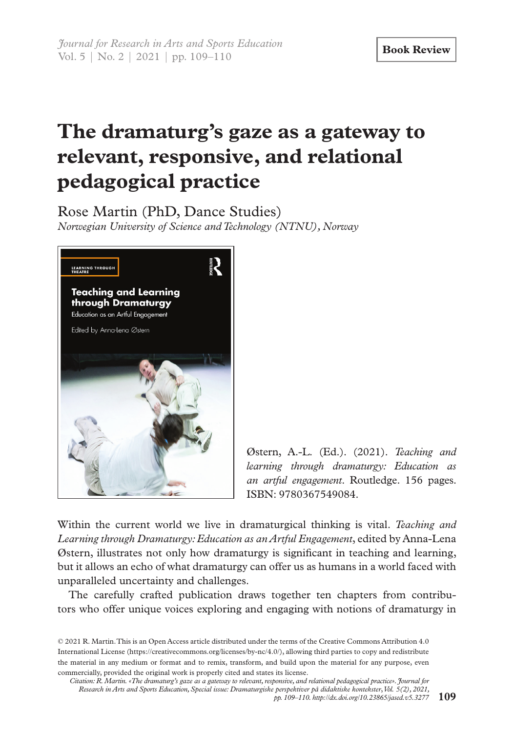## **The dramaturg's gaze as a gateway to relevant, responsive, and relational pedagogical practice**

Rose Martin (PhD, Dance Studies) *Norwegian University of Science and Technology (NTNU), Norway*



Østern, A.-L. (Ed.). (2021). *Teaching and learning through dramaturgy: Education as an artful engagement*. Routledge. 156 pages. ISBN: 9780367549084.

Within the current world we live in dramaturgical thinking is vital. *Teaching and Learning through Dramaturgy: Education as an Artful Engagement*, edited by Anna-Lena Østern, illustrates not only how dramaturgy is significant in teaching and learning, but it allows an echo of what dramaturgy can offer us as humans in a world faced with unparalleled uncertainty and challenges.

The carefully crafted publication draws together ten chapters from contributors who offer unique voices exploring and engaging with notions of dramaturgy in

© 2021 R. Martin. This is an Open Access article distributed under the terms of the Creative Commons Attribution 4.0 International License (https://creativecommons.org/licenses/by-nc/4.0/), allowing third parties to copy and redistribute the material in any medium or format and to remix, transform, and build upon the material for any purpose, even commercially, provided the original work is properly cited and states its license.

*Citation: R. Martin. «The dramaturg's gaze as a gateway to relevant, responsive, and relational pedagogical practice». Journal for Research in Arts and Sports Education, Special issue: Dramaturgiske perspektiver på didaktiske kontekster*, *Vol. 5(2), 2021, pp. 109–110. http://dx.doi.org/10.23865/jased.v5.3277* **109**